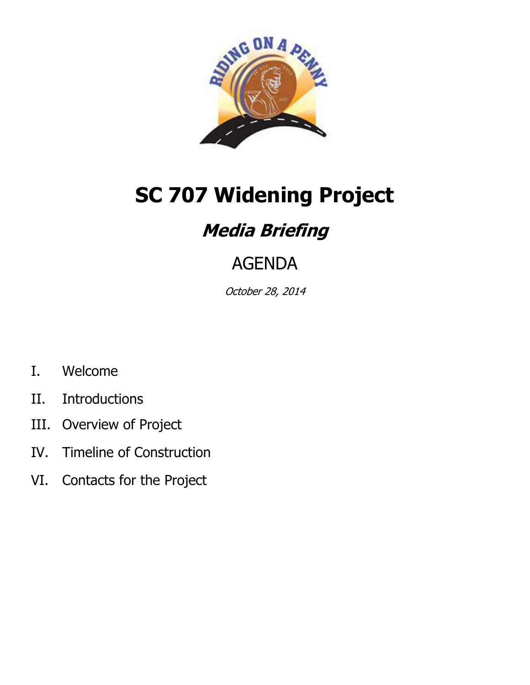

# **SC 707 Widening Project**

# **Media Briefing**

# AGENDA

October 28, 2014

- I. Welcome
- II. Introductions
- III. Overview of Project
- IV. Timeline of Construction
- VI. Contacts for the Project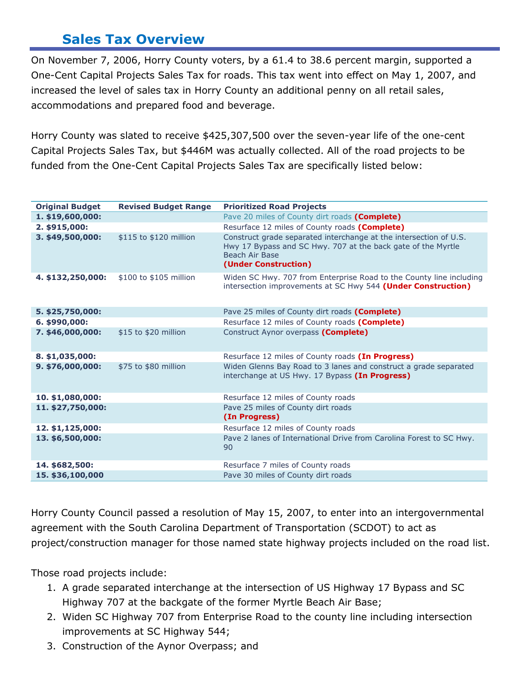### **Sales Tax Overview**

On November 7, 2006, Horry County voters, by a 61.4 to 38.6 percent margin, supported a One-Cent Capital Projects Sales Tax for roads. This tax went into effect on May 1, 2007, and increased the level of sales tax in Horry County an additional penny on all retail sales, accommodations and prepared food and beverage.

Horry County was slated to receive \$425,307,500 over the seven-year life of the one-cent Capital Projects Sales Tax, but \$446M was actually collected. All of the road projects to be funded from the One-Cent Capital Projects Sales Tax are specifically listed below:

| <b>Original Budget</b> | <b>Revised Budget Range</b> | <b>Prioritized Road Projects</b>                                                                                                                                            |
|------------------------|-----------------------------|-----------------------------------------------------------------------------------------------------------------------------------------------------------------------------|
| 1. \$19,600,000:       |                             | Pave 20 miles of County dirt roads (Complete)                                                                                                                               |
| 2. \$915,000:          |                             | Resurface 12 miles of County roads (Complete)                                                                                                                               |
| 3. \$49,500,000:       | \$115 to \$120 million      | Construct grade separated interchange at the intersection of U.S.<br>Hwy 17 Bypass and SC Hwy. 707 at the back gate of the Myrtle<br>Beach Air Base<br>(Under Construction) |
| 4. \$132,250,000:      | \$100 to \$105 million      | Widen SC Hwy. 707 from Enterprise Road to the County line including<br>intersection improvements at SC Hwy 544 (Under Construction)                                         |
| 5. \$25,750,000:       |                             | Pave 25 miles of County dirt roads (Complete)                                                                                                                               |
| 6. \$990,000:          |                             | Resurface 12 miles of County roads (Complete)                                                                                                                               |
| 7. \$46,000,000:       | \$15 to \$20 million        | Construct Aynor overpass (Complete)                                                                                                                                         |
| 8. \$1,035,000:        |                             | Resurface 12 miles of County roads (In Progress)                                                                                                                            |
| 9. \$76,000,000:       | \$75 to \$80 million        | Widen Glenns Bay Road to 3 lanes and construct a grade separated<br>interchange at US Hwy. 17 Bypass (In Progress)                                                          |
| 10. \$1,080,000:       |                             | Resurface 12 miles of County roads                                                                                                                                          |
| 11. \$27,750,000:      |                             | Pave 25 miles of County dirt roads<br>(In Progress)                                                                                                                         |
| 12. \$1,125,000:       |                             | Resurface 12 miles of County roads                                                                                                                                          |
| 13. \$6,500,000:       |                             | Pave 2 lanes of International Drive from Carolina Forest to SC Hwy.<br>90                                                                                                   |
| 14. \$682,500:         |                             | Resurface 7 miles of County roads                                                                                                                                           |
| 15. \$36,100,000       |                             | Pave 30 miles of County dirt roads                                                                                                                                          |

Horry County Council passed a resolution of May 15, 2007, to enter into an intergovernmental agreement with the South Carolina Department of Transportation (SCDOT) to act as project/construction manager for those named state highway projects included on the road list.

Those road projects include:

- 1. A grade separated interchange at the intersection of US Highway 17 Bypass and SC Highway 707 at the backgate of the former Myrtle Beach Air Base;
- 2. Widen SC Highway 707 from Enterprise Road to the county line including intersection improvements at SC Highway 544;
- 3. Construction of the Aynor Overpass; and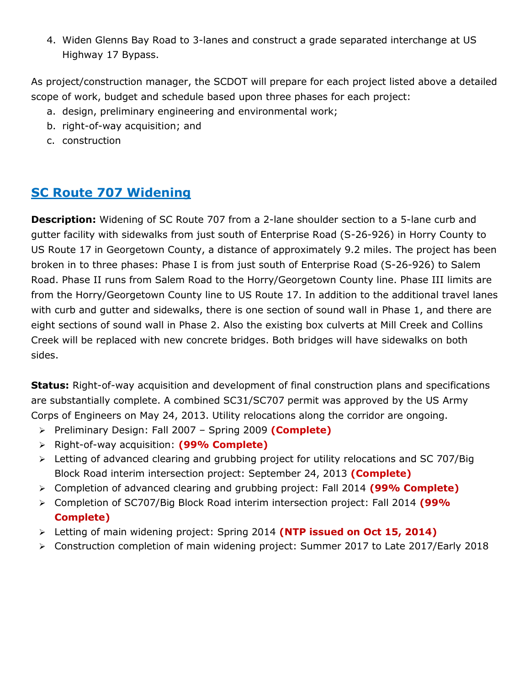4. Widen Glenns Bay Road to 3-lanes and construct a grade separated interchange at US Highway 17 Bypass.

As project/construction manager, the SCDOT will prepare for each project listed above a detailed scope of work, budget and schedule based upon three phases for each project:

- a. design, preliminary engineering and environmental work;
- b. right-of-way acquisition; and
- c. construction

### **SC Route 707 Widening**

**Description:** Widening of SC Route 707 from a 2-lane shoulder section to a 5-lane curb and gutter facility with sidewalks from just south of Enterprise Road (S-26-926) in Horry County to US Route 17 in Georgetown County, a distance of approximately 9.2 miles. The project has been broken in to three phases: Phase I is from just south of Enterprise Road (S-26-926) to Salem Road. Phase II runs from Salem Road to the Horry/Georgetown County line. Phase III limits are from the Horry/Georgetown County line to US Route 17. In addition to the additional travel lanes with curb and gutter and sidewalks, there is one section of sound wall in Phase 1, and there are eight sections of sound wall in Phase 2. Also the existing box culverts at Mill Creek and Collins Creek will be replaced with new concrete bridges. Both bridges will have sidewalks on both sides.

**Status:** Right-of-way acquisition and development of final construction plans and specifications are substantially complete. A combined SC31/SC707 permit was approved by the US Army Corps of Engineers on May 24, 2013. Utility relocations along the corridor are ongoing.

- Preliminary Design: Fall 2007 Spring 2009 **(Complete)**
- Right-of-way acquisition: **(99% Complete)**
- Letting of advanced clearing and grubbing project for utility relocations and SC 707/Big Block Road interim intersection project: September 24, 2013 **(Complete)**
- Completion of advanced clearing and grubbing project: Fall 2014 **(99% Complete)**
- Completion of SC707/Big Block Road interim intersection project: Fall 2014 **(99% Complete)**
- Letting of main widening project: Spring 2014 **(NTP issued on Oct 15, 2014)**
- $\triangleright$  Construction completion of main widening project: Summer 2017 to Late 2017/Early 2018